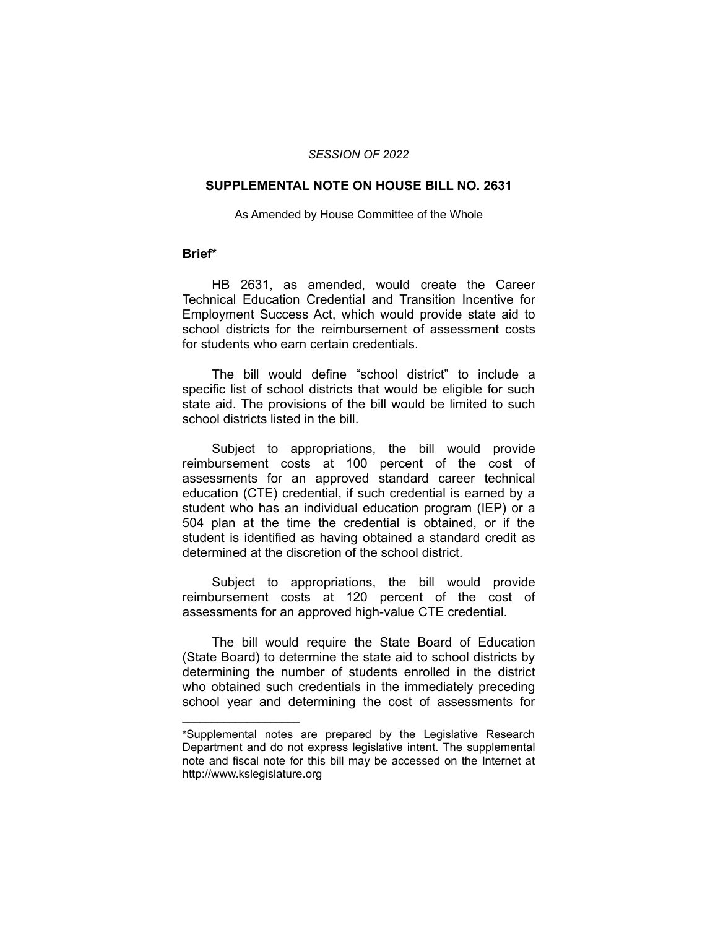### *SESSION OF 2022*

### **SUPPLEMENTAL NOTE ON HOUSE BILL NO. 2631**

#### As Amended by House Committee of the Whole

## **Brief\***

HB 2631, as amended, would create the Career Technical Education Credential and Transition Incentive for Employment Success Act, which would provide state aid to school districts for the reimbursement of assessment costs for students who earn certain credentials.

The bill would define "school district" to include a specific list of school districts that would be eligible for such state aid. The provisions of the bill would be limited to such school districts listed in the bill.

Subject to appropriations, the bill would provide reimbursement costs at 100 percent of the cost of assessments for an approved standard career technical education (CTE) credential, if such credential is earned by a student who has an individual education program (IEP) or a 504 plan at the time the credential is obtained, or if the student is identified as having obtained a standard credit as determined at the discretion of the school district.

Subject to appropriations, the bill would provide reimbursement costs at 120 percent of the cost of assessments for an approved high-value CTE credential.

The bill would require the State Board of Education (State Board) to determine the state aid to school districts by determining the number of students enrolled in the district who obtained such credentials in the immediately preceding school year and determining the cost of assessments for

 $\overline{\phantom{a}}$  , where  $\overline{\phantom{a}}$  , where  $\overline{\phantom{a}}$ 

<sup>\*</sup>Supplemental notes are prepared by the Legislative Research Department and do not express legislative intent. The supplemental note and fiscal note for this bill may be accessed on the Internet at http://www.kslegislature.org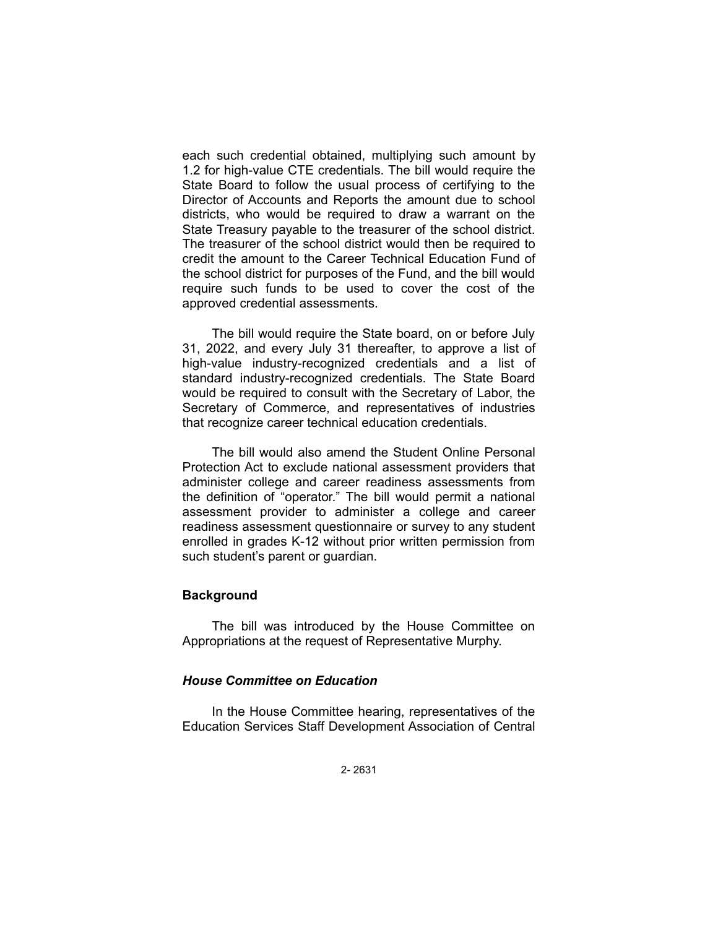each such credential obtained, multiplying such amount by 1.2 for high-value CTE credentials. The bill would require the State Board to follow the usual process of certifying to the Director of Accounts and Reports the amount due to school districts, who would be required to draw a warrant on the State Treasury payable to the treasurer of the school district. The treasurer of the school district would then be required to credit the amount to the Career Technical Education Fund of the school district for purposes of the Fund, and the bill would require such funds to be used to cover the cost of the approved credential assessments.

The bill would require the State board, on or before July 31, 2022, and every July 31 thereafter, to approve a list of high-value industry-recognized credentials and a list of standard industry-recognized credentials. The State Board would be required to consult with the Secretary of Labor, the Secretary of Commerce, and representatives of industries that recognize career technical education credentials.

The bill would also amend the Student Online Personal Protection Act to exclude national assessment providers that administer college and career readiness assessments from the definition of "operator." The bill would permit a national assessment provider to administer a college and career readiness assessment questionnaire or survey to any student enrolled in grades K-12 without prior written permission from such student's parent or guardian.

## **Background**

The bill was introduced by the House Committee on Appropriations at the request of Representative Murphy.

## *House Committee on Education*

In the House Committee hearing, representatives of the Education Services Staff Development Association of Central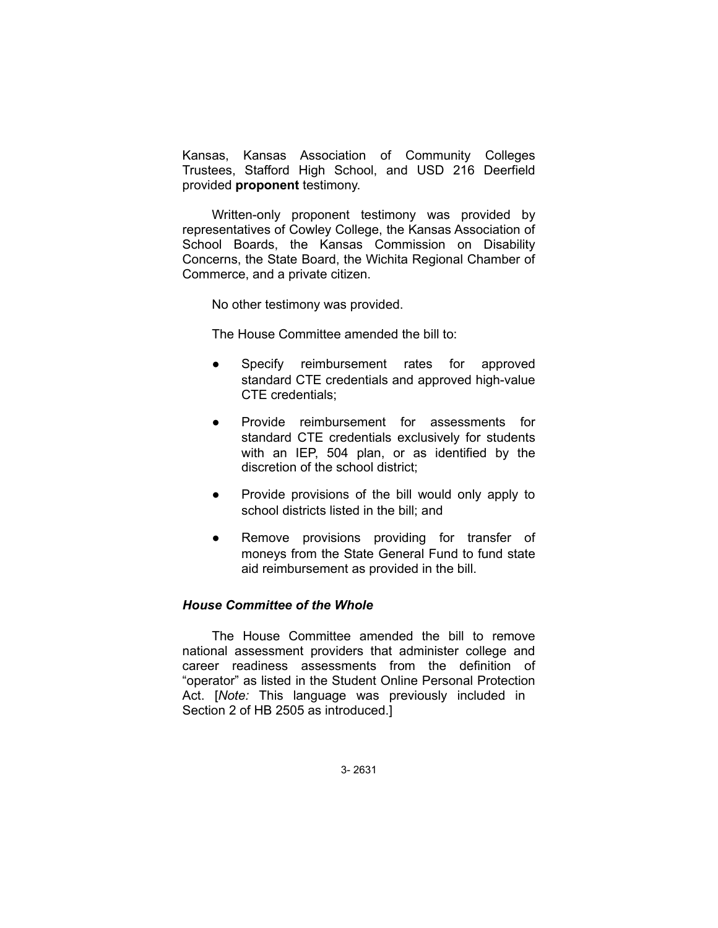Kansas, Kansas Association of Community Colleges Trustees, Stafford High School, and USD 216 Deerfield provided **proponent** testimony.

Written-only proponent testimony was provided by representatives of Cowley College, the Kansas Association of School Boards, the Kansas Commission on Disability Concerns, the State Board, the Wichita Regional Chamber of Commerce, and a private citizen.

No other testimony was provided.

The House Committee amended the bill to:

- Specify reimbursement rates for approved standard CTE credentials and approved high-value CTE credentials;
- Provide reimbursement for assessments for standard CTE credentials exclusively for students with an IEP, 504 plan, or as identified by the discretion of the school district;
- Provide provisions of the bill would only apply to school districts listed in the bill; and
- Remove provisions providing for transfer of moneys from the State General Fund to fund state aid reimbursement as provided in the bill.

## *House Committee of the Whole*

The House Committee amended the bill to remove national assessment providers that administer college and career readiness assessments from the definition of "operator" as listed in the Student Online Personal Protection Act. [*Note:* This language was previously included in Section 2 of HB 2505 as introduced.]